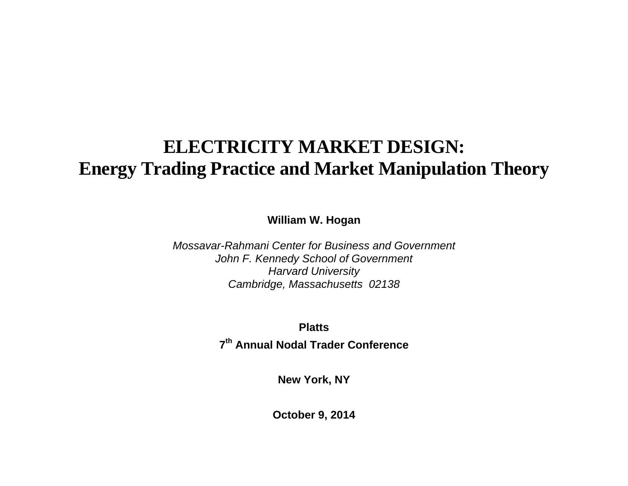# **ELECTRICITY MARKET DESIGN: Energy Trading Practice and Market Manipulation Theory**

**William W. Hogan** 

*Mossavar-Rahmani Center for Business and Government John F. Kennedy School of Government Harvard University Cambridge, Massachusetts 02138* 

**Platts** 

**7th Annual Nodal Trader Conference** 

**New York, NY** 

**October 9, 2014**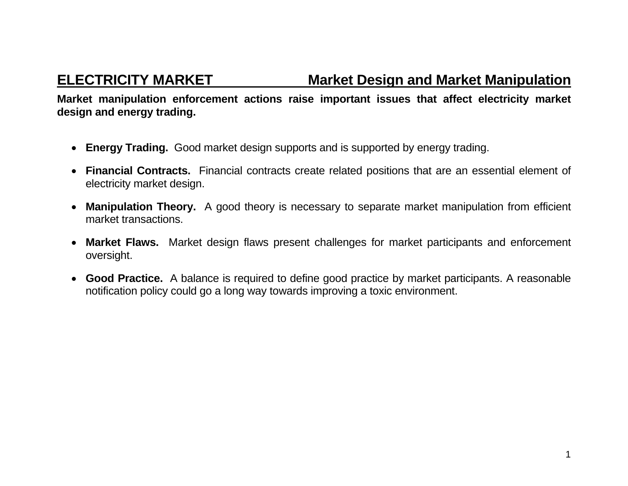**ELECTRICITY MARKET Market Design and Market Manipulation** 

**Market manipulation enforcement actions raise important issues that affect electricity market design and energy trading.** 

- **Energy Trading.** Good market design supports and is supported by energy trading.
- **Financial Contracts.** Financial contracts create related positions that are an essential element of electricity market design.
- $\bullet$  **Manipulation Theory.** A good theory is necessary to separate market manipulation from efficient market transactions.
- **Market Flaws.** Market design flaws present challenges for market participants and enforcement oversight.
- **Good Practice.** A balance is required to define good practice by market participants. A reasonable notification policy could go a long way towards improving a toxic environment.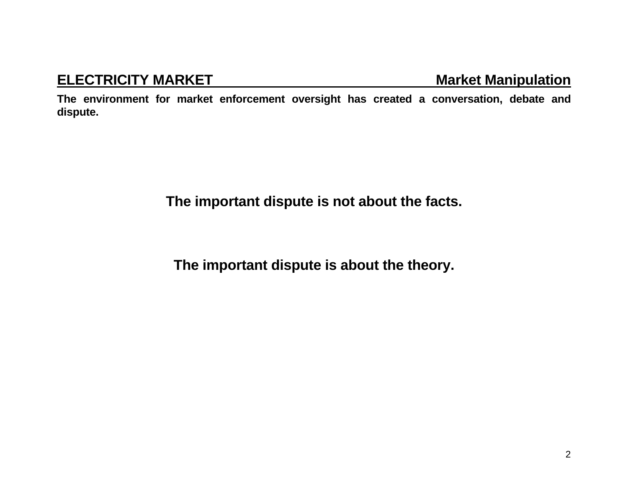## **ELECTRICITY MARKET MARKET Market Manipulation**

**The environment for market enforcement oversight has created a conversation, debate and dispute.** 

**The important dispute is not about the facts.** 

**The important dispute is about the theory.**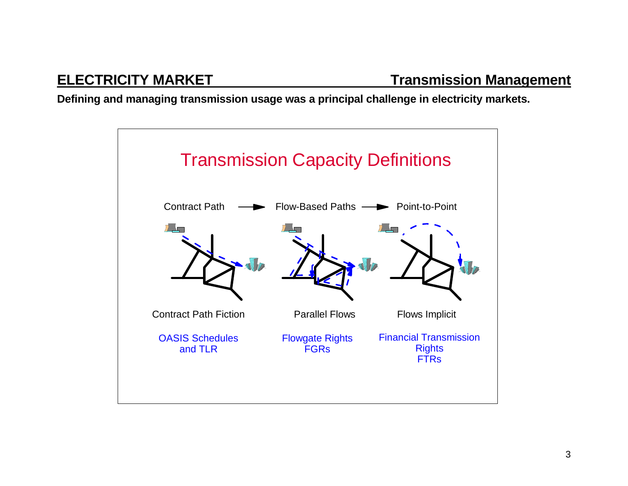**Defining and managing transmission usage was a principal challenge in electricity markets.**

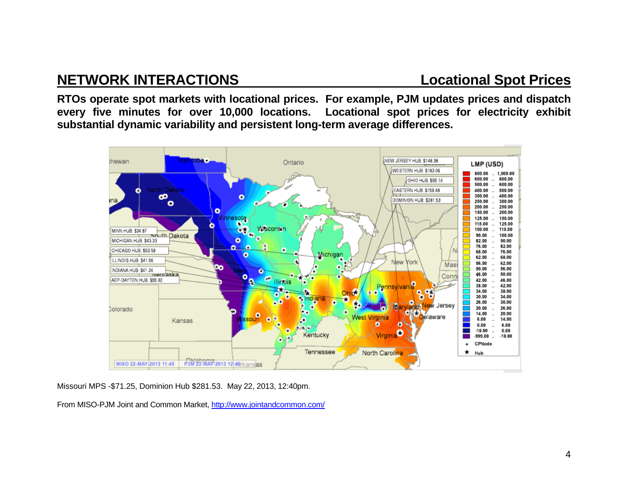# **NETWORK INTERACTIONS Locational Spot Prices**

**RTOs operate spot markets with locational prices. For example, PJM updates prices and dispatch every five minutes for over 10,000 locations. Locational spot prices for electricity exhibit substantial dynamic variability and persistent long-term average differences.** 



Missouri MPS -\$71.25, Dominion Hub \$281.53. May 22, 2013, 12:40pm.

From MISO-PJM Joint and Common Market, http://www.jointandcommon.com/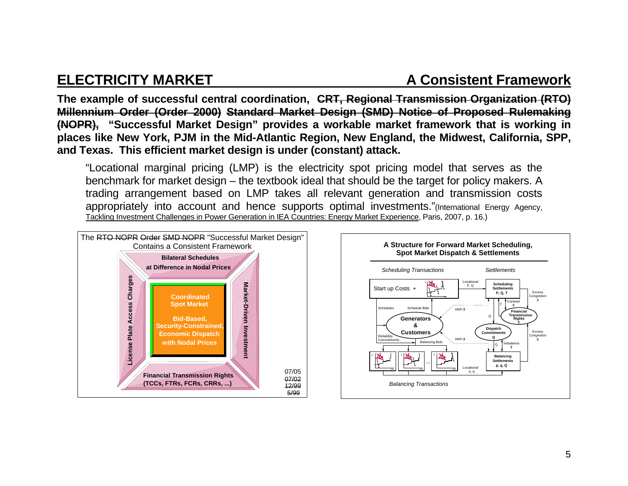### **ELECTRICITY MARKET A Consistent Framework**

**The example of successful central coordination, CRT, Regional Transmission Organization (RTO) Millennium Order (Order 2000) Standard Market Design (SMD) Notice of Proposed Rulemaking (NOPR), "Successful Market Design" provides a workable market framework that is working in places like New York, PJM in the Mid-Atlantic Region, New England, the Midwest, California, SPP, and Texas. This efficient market design is under (constant) attack.** 

"Locational marginal pricing (LMP) is the electricity spot pricing model that serves as the benchmark for market design – the textbook ideal that should be the target for policy makers. A trading arrangement based on LMP takes all relevant generation and transmission costs appropriately into account and hence supports optimal investments."(International Energy Agency, Tackling Investment Challenges in Power Generation in IEA Countries: Energy Market Experience, Paris, 2007, p. 16.)



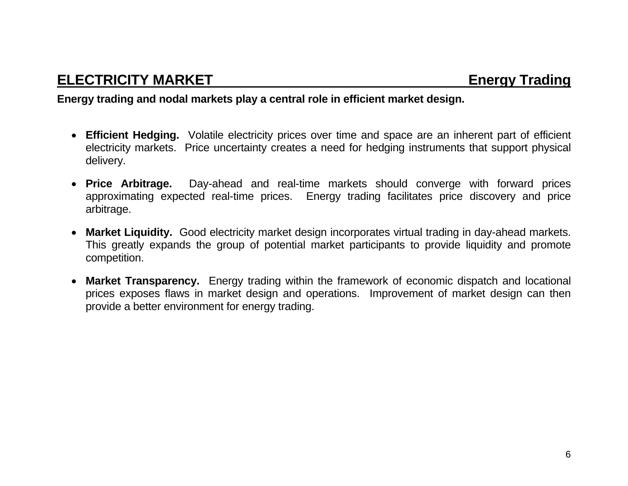### **Energy trading and nodal markets play a central role in efficient market design.**

- **Efficient Hedging.** Volatile electricity prices over time and space are an inherent part of efficient electricity markets. Price uncertainty creates a need for hedging instruments that support physical delivery.
- Price Arbitrage. Day-ahead and real-time markets should converge with forward prices approximating expected real-time prices. Energy trading facilitates price discovery and price arbitrage.
- **Market Liquidity.** Good electricity market design incorporates virtual trading in day-ahead markets. This greatly expands the group of potential market participants to provide liquidity and promote competition.
- **Market Transparency.** Energy trading within the framework of economic dispatch and locational prices exposes flaws in market design and operations. Improvement of market design can then provide a better environment for energy trading.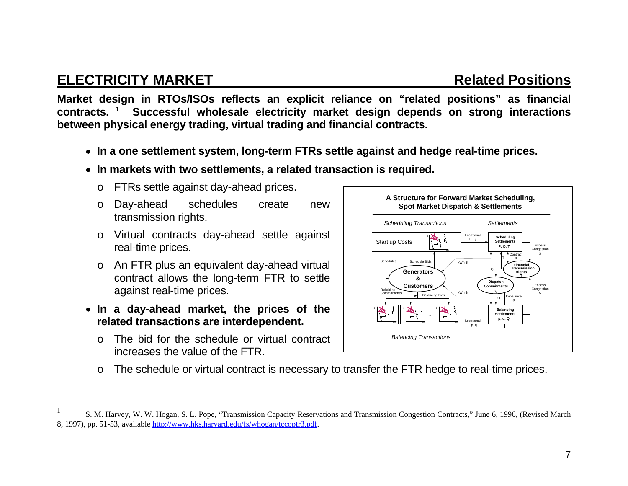### **ELECTRICITY MARKET Related Positions**

**Market design in RTOs/ISOs reflects an explicit reliance on "related positions" as financial contracts. <sup>1</sup> Successful wholesale electricity market design depends on strong interactions between physical energy trading, virtual trading and financial contracts.** 

- **In a one settlement system, long-term FTRs settle against and hedge real-time prices.**
- **In markets with two settlements, a related transaction is required.** 
	- <sup>o</sup> FTRs settle against day-ahead prices.
	- <sup>o</sup> Day-ahead schedules create new transmission rights.
	- <sup>o</sup> Virtual contracts day-ahead settle against real-time prices.
	- <sup>o</sup> An FTR plus an equivalent day-ahead virtual contract allows the long-term FTR to settle against real-time prices.
- **In a day-ahead market, the prices of the related transactions are interdependent.** 
	- o The bid for the schedule or virtual contract increases the value of the FTR.



<sup>o</sup> The schedule or virtual contract is necessary to transfer the FTR hedge to real-time prices.

<sup>1</sup> S. M. Harvey, W. W. Hogan, S. L. Pope, "Transmission Capacity Reservations and Transmission Congestion Contracts," June 6, 1996, (Revised March 8, 1997), pp. 51-53, available http://www.hks.harvard.edu/fs/whogan/tccoptr3.pdf.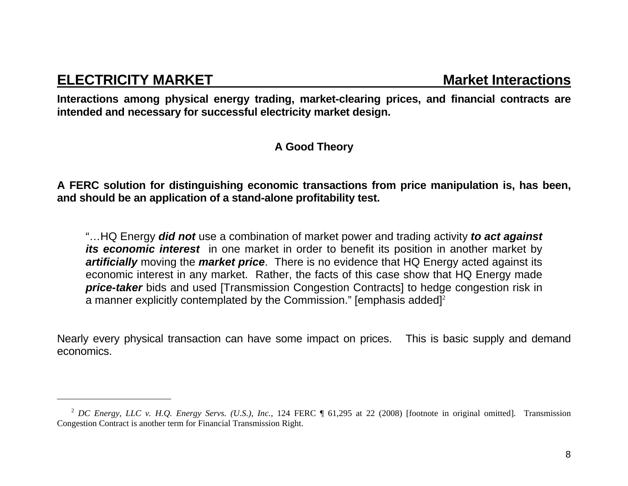### **ELECTRICITY MARKET MARKET** Market Interactions

**Interactions among physical energy trading, market-clearing prices, and financial contracts are intended and necessary for successful electricity market design.** 

### **A Good Theory**

**A FERC solution for distinguishing economic transactions from price manipulation is, has been, and should be an application of a stand-alone profitability test.** 

"…HQ Energy *did not* use a combination of market power and trading activity *to act against its economic interest* in one market in order to benefit its position in another market by *artificially* moving the *market price*. There is no evidence that HQ Energy acted against its economic interest in any market. Rather, the facts of this case show that HQ Energy made **price-taker** bids and used [Transmission Congestion Contracts] to hedge congestion risk in a manner explicitly contemplated by the Commission." [emphasis added]<sup>2</sup>

Nearly every physical transaction can have some impact on prices. This is basic supply and demand economics.

<sup>2</sup> *DC Energy, LLC v. H.Q. Energy Servs. (U.S.), Inc.*, 124 FERC ¶ 61,295 at 22 (2008) [footnote in original omitted]. Transmission Congestion Contract is another term for Financial Transmission Right.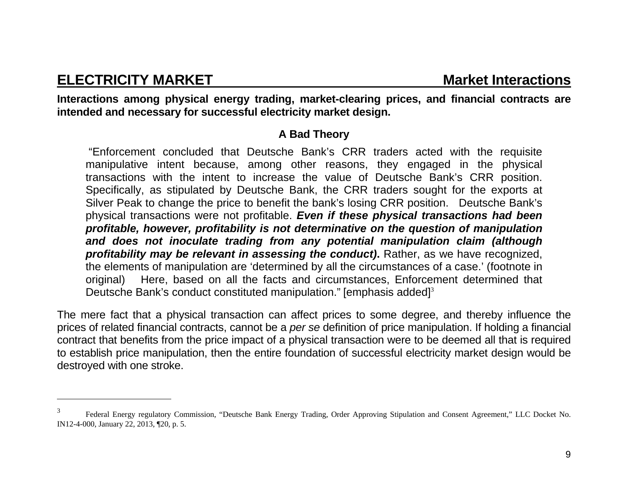### **ELECTRICITY MARKET MARKET** Market Interactions

**Interactions among physical energy trading, market-clearing prices, and financial contracts are intended and necessary for successful electricity market design.** 

### **A Bad Theory**

 "Enforcement concluded that Deutsche Bank's CRR traders acted with the requisite manipulative intent because, among other reasons, they engaged in the physical transactions with the intent to increase the value of Deutsche Bank's CRR position. Specifically, as stipulated by Deutsche Bank, the CRR traders sought for the exports at Silver Peak to change the price to benefit the bank's losing CRR position. Deutsche Bank's physical transactions were not profitable. *Even if these physical transactions had been profitable, however, profitability is not determinative on the question of manipulation and does not inoculate trading from any potential manipulation claim (although profitability may be relevant in assessing the conduct)***.** Rather, as we have recognized, the elements of manipulation are 'determined by all the circumstances of a case.' (footnote in original) Here, based on all the facts and circumstances, Enforcement determined that Deutsche Bank's conduct constituted manipulation." [emphasis added]<sup>3</sup>

The mere fact that a physical transaction can affect prices to some degree, and thereby influence the prices of related financial contracts, cannot be a *per se* definition of price manipulation. If holding a financial contract that benefits from the price impact of a physical transaction were to be deemed all that is required to establish price manipulation, then the entire foundation of successful electricity market design would be destroyed with one stroke.

<sup>3</sup> Federal Energy regulatory Commission, "Deutsche Bank Energy Trading, Order Approving Stipulation and Consent Agreement," LLC Docket No. IN12-4-000, January 22, 2013, ¶20, p. 5.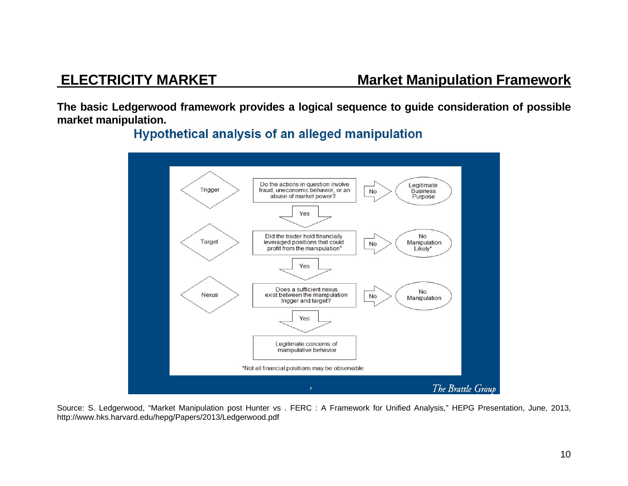**The basic Ledgerwood framework provides a logical sequence to guide consideration of possible market manipulation.** 

**Hypothetical analysis of an alleged manipulation** 



Source: S. Ledgerwood, "Market Manipulation post Hunter vs . FERC : A Framework for Unified Analysis," HEPG Presentation, June, 2013, http://www.hks.harvard.edu/hepg/Papers/2013/Ledgerwood.pdf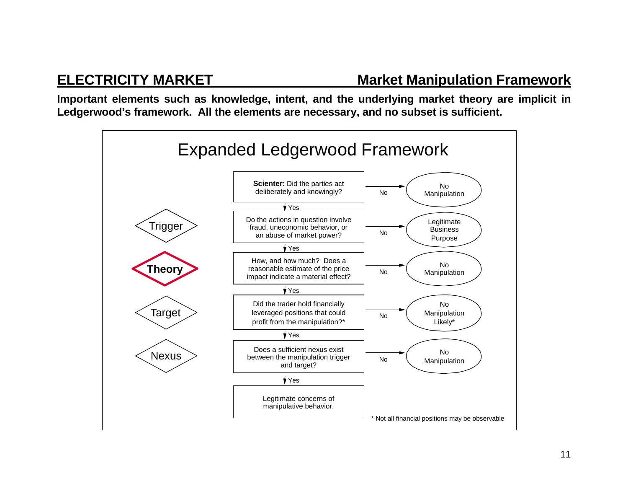**Important elements such as knowledge, intent, and the underlying market theory are implicit in Ledgerwood's framework. All the elements are necessary, and no subset is sufficient.** 

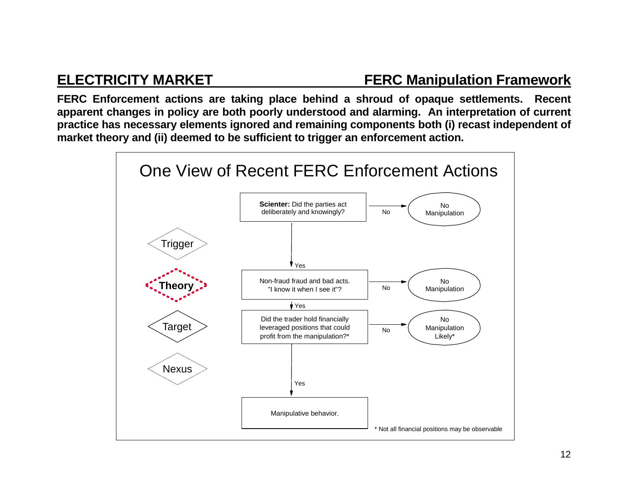### **ELECTRICITY MARKET FERC Manipulation Framework**

**FERC Enforcement actions are taking place behind a shroud of opaque settlements. Recent apparent changes in policy are both poorly understood and alarming. An interpretation of current practice has necessary elements ignored and remaining components both (i) recast independent of market theory and (ii) deemed to be sufficient to trigger an enforcement action.** 

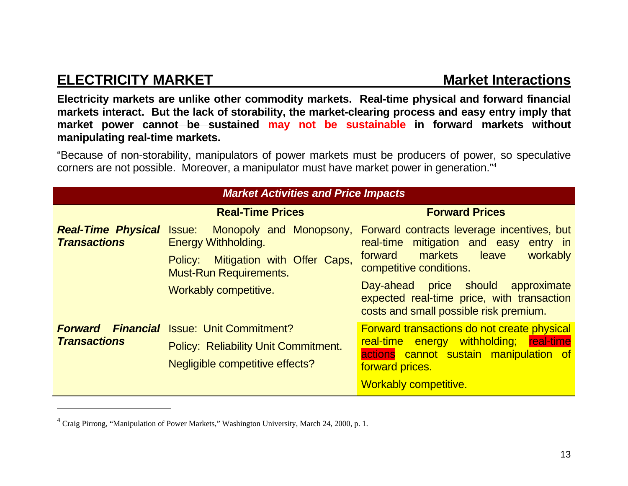# **ELECTRICITY MARKET MARKET MARKET MARKET MARKET MARKET MARKET MARKET MARKET MARKET MARKET MARKET MARKET MARKET**

**Electricity markets are unlike other commodity markets. Real-time physical and forward financial markets interact. But the lack of storability, the market-clearing process and easy entry imply that market power cannot be sustained may not be sustainable in forward markets without manipulating real-time markets.** 

"Because of non-storability, manipulators of power markets must be producers of power, so speculative corners are not possible. Moreover, a manipulator must have market power in generation."<sup>4</sup>

| <b>Market Activities and Price Impacts</b>              |                                                                                                                                   |                                                                                                                                                                                            |
|---------------------------------------------------------|-----------------------------------------------------------------------------------------------------------------------------------|--------------------------------------------------------------------------------------------------------------------------------------------------------------------------------------------|
|                                                         | <b>Real-Time Prices</b>                                                                                                           | <b>Forward Prices</b>                                                                                                                                                                      |
| <b>Real-Time Physical Issue:</b><br><b>Transactions</b> | <b>Energy Withholding.</b><br>Mitigation with Offer Caps,<br>Policy:<br><b>Must-Run Requirements.</b>                             | Monopoly and Monopsony, Forward contracts leverage incentives, but<br>real-time mitigation and easy entry in<br>markets<br>workably<br>forward<br>leave<br>competitive conditions.         |
|                                                         | <b>Workably competitive.</b>                                                                                                      | Day-ahead price should<br>approximate<br>expected real-time price, with transaction<br>costs and small possible risk premium.                                                              |
| <b>Forward</b><br><b>Transactions</b>                   | <b>Financial</b> Issue: Unit Commitment?<br><b>Policy: Reliability Unit Commitment.</b><br><b>Negligible competitive effects?</b> | <b>Forward transactions do not create physical</b><br>real-time energy withholding; real-time<br>actions cannot sustain manipulation of<br>forward prices.<br><b>Workably competitive.</b> |

<sup>&</sup>lt;sup>4</sup> Craig Pirrong, "Manipulation of Power Markets," Washington University, March 24, 2000, p. 1.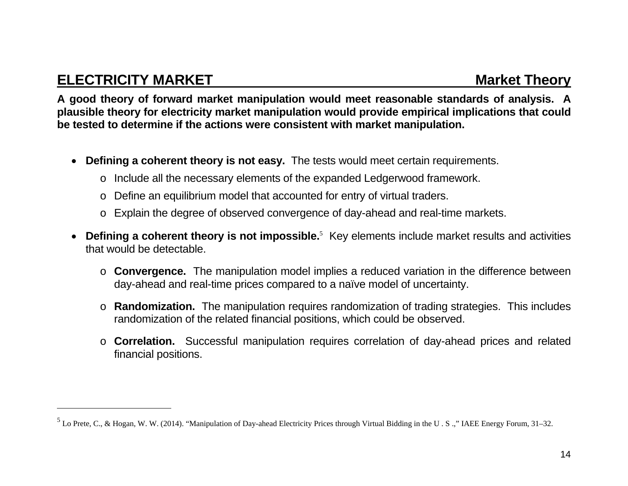# **ELECTRICITY MARKET MARKET MARKET RESOLUTION CONSUMER A SET AND MARKET MARKET MARKET MARKET MARKET MARKET**

**A good theory of forward market manipulation would meet reasonable standards of analysis. A plausible theory for electricity market manipulation would provide empirical implications that could be tested to determine if the actions were consistent with market manipulation.** 

- **Defining a coherent theory is not easy.** The tests would meet certain requirements.
	- <sup>o</sup> Include all the necessary elements of the expanded Ledgerwood framework.
	- <sup>o</sup> Define an equilibrium model that accounted for entry of virtual traders.
	- <sup>o</sup> Explain the degree of observed convergence of day-ahead and real-time markets.
- **Defining a coherent theory is not impossible.**<sup>5</sup> Key elements include market results and activities that would be detectable.
	- o **Convergence.** The manipulation model implies a reduced variation in the difference between day-ahead and real-time prices compared to a naïve model of uncertainty.
	- o **Randomization.** The manipulation requires randomization of trading strategies. This includes randomization of the related financial positions, which could be observed.
	- o **Correlation.** Successful manipulation requires correlation of day-ahead prices and related financial positions.

 $5$  Lo Prete, C., & Hogan, W. W. (2014). "Manipulation of Day-ahead Electricity Prices through Virtual Bidding in the U.S.." IAEE Energy Forum, 31–32.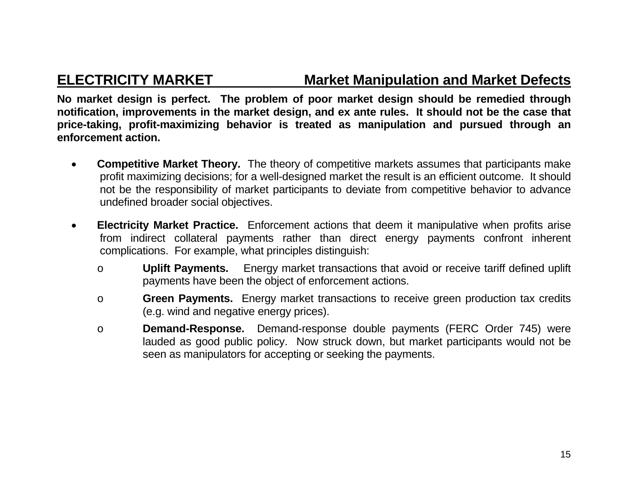### **ELECTRICITY MARKET Market Manipulation and Market Defects**

**No market design is perfect. The problem of poor market design should be remedied through notification, improvements in the market design, and ex ante rules. It should not be the case that price-taking, profit-maximizing behavior is treated as manipulation and pursued through an enforcement action.** 

- $\bullet$  **Competitive Market Theory.** The theory of competitive markets assumes that participants make profit maximizing decisions; for a well-designed market the result is an efficient outcome. It should not be the responsibility of market participants to deviate from competitive behavior to advance undefined broader social objectives.
- $\bullet$  **Electricity Market Practice.** Enforcement actions that deem it manipulative when profits arise from indirect collateral payments rather than direct energy payments confront inherent complications. For example, what principles distinguish:
	- o **Uplift Payments.** Energy market transactions that avoid or receive tariff defined uplift payments have been the object of enforcement actions.
	- o **Green Payments.** Energy market transactions to receive green production tax credits (e.g. wind and negative energy prices).
	- o **Demand-Response.** Demand-response double payments (FERC Order 745) were lauded as good public policy. Now struck down, but market participants would not be seen as manipulators for accepting or seeking the payments.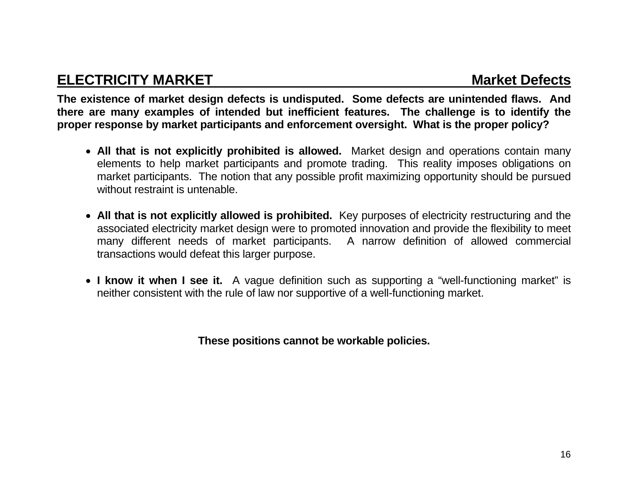### **ELECTRICITY MARKET MARKET Market Defects**

**The existence of market design defects is undisputed. Some defects are unintended flaws. And there are many examples of intended but inefficient features. The challenge is to identify the proper response by market participants and enforcement oversight. What is the proper policy?** 

- **All that is not explicitly prohibited is allowed.** Market design and operations contain many elements to help market participants and promote trading. This reality imposes obligations on market participants. The notion that any possible profit maximizing opportunity should be pursued without restraint is untenable.
- **All that is not explicitly allowed is prohibited.** Key purposes of electricity restructuring and the associated electricity market design were to promoted innovation and provide the flexibility to meet many different needs of market participants. A narrow definition of allowed commercial transactions would defeat this larger purpose.
- **I know it when I see it.** A vague definition such as supporting a "well-functioning market" is neither consistent with the rule of law nor supportive of a well-functioning market.

**These positions cannot be workable policies.**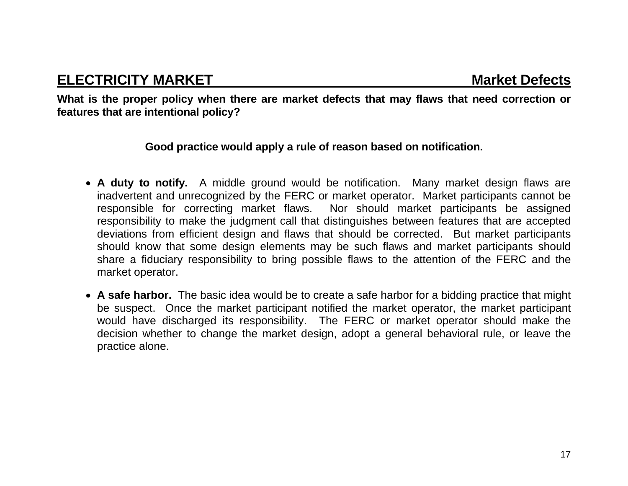**What is the proper policy when there are market defects that may flaws that need correction or features that are intentional policy?** 

### **Good practice would apply a rule of reason based on notification.**

- **A duty to notify.** A middle ground would be notification. Many market design flaws are inadvertent and unrecognized by the FERC or market operator. Market participants cannot be responsible for correcting market flaws. Nor should market participants be assigned responsibility to make the judgment call that distinguishes between features that are accepted deviations from efficient design and flaws that should be corrected. But market participants should know that some design elements may be such flaws and market participants should share a fiduciary responsibility to bring possible flaws to the attention of the FERC and the market operator.
- **A safe harbor.** The basic idea would be to create a safe harbor for a bidding practice that might be suspect. Once the market participant notified the market operator, the market participant would have discharged its responsibility. The FERC or market operator should make the decision whether to change the market design, adopt a general behavioral rule, or leave the practice alone.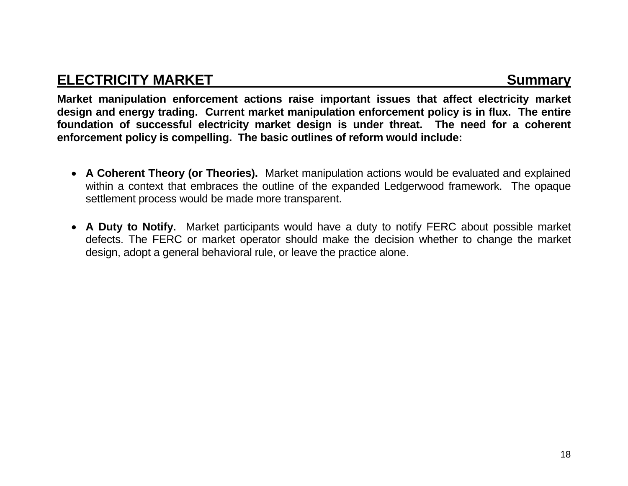### **ELECTRICITY MARKET** Summary **Summary Summary**

**Market manipulation enforcement actions raise important issues that affect electricity market design and energy trading. Current market manipulation enforcement policy is in flux. The entire foundation of successful electricity market design is under threat. The need for a coherent enforcement policy is compelling. The basic outlines of reform would include:** 

- **A Coherent Theory (or Theories).** Market manipulation actions would be evaluated and explained within a context that embraces the outline of the expanded Ledgerwood framework. The opaque settlement process would be made more transparent.
- **A Duty to Notify.** Market participants would have a duty to notify FERC about possible market defects. The FERC or market operator should make the decision whether to change the market design, adopt a general behavioral rule, or leave the practice alone.